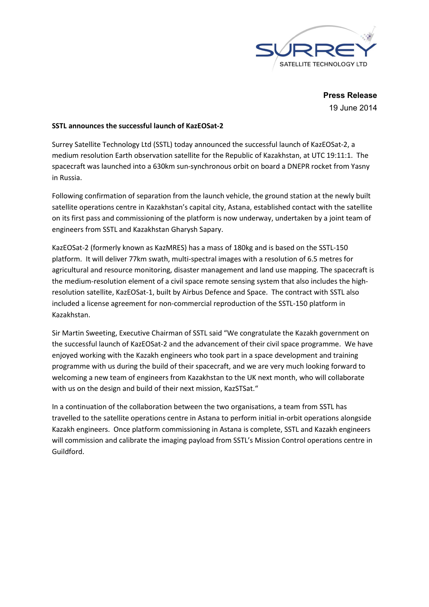

Press Release 19 June 2014

## SSTL announces the successful launch of KazEOSat-2

Surrey Satellite Technology Ltd (SSTL) today announced the successful launch of KazEOSat-2, a medium resolution Earth observation satellite for the Republic of Kazakhstan, at UTC 19:11:1. The spacecraft was launched into a 630km sun-synchronous orbit on board a DNEPR rocket from Yasny in Russia.

Following confirmation of separation from the launch vehicle, the ground station at the newly built satellite operations centre in Kazakhstan's capital city, Astana, established contact with the satellite on its first pass and commissioning of the platform is now underway, undertaken by a joint team of engineers from SSTL and Kazakhstan Gharysh Sapary.

KazEOSat-2 (formerly known as KazMRES) has a mass of 180kg and is based on the SSTL-150 platform. It will deliver 77km swath, multi-spectral images with a resolution of 6.5 metres for agricultural and resource monitoring, disaster management and land use mapping. The spacecraft is the medium-resolution element of a civil space remote sensing system that also includes the highresolution satellite, KazEOSat-1, built by Airbus Defence and Space. The contract with SSTL also included a license agreement for non-commercial reproduction of the SSTL-150 platform in Kazakhstan.

Sir Martin Sweeting, Executive Chairman of SSTL said "We congratulate the Kazakh government on the successful launch of KazEOSat-2 and the advancement of their civil space programme. We have enjoyed working with the Kazakh engineers who took part in a space development and training programme with us during the build of their spacecraft, and we are very much looking forward to welcoming a new team of engineers from Kazakhstan to the UK next month, who will collaborate with us on the design and build of their next mission, KazSTSat."

In a continuation of the collaboration between the two organisations, a team from SSTL has travelled to the satellite operations centre in Astana to perform initial in-orbit operations alongside Kazakh engineers. Once platform commissioning in Astana is complete, SSTL and Kazakh engineers will commission and calibrate the imaging payload from SSTL's Mission Control operations centre in Guildford.